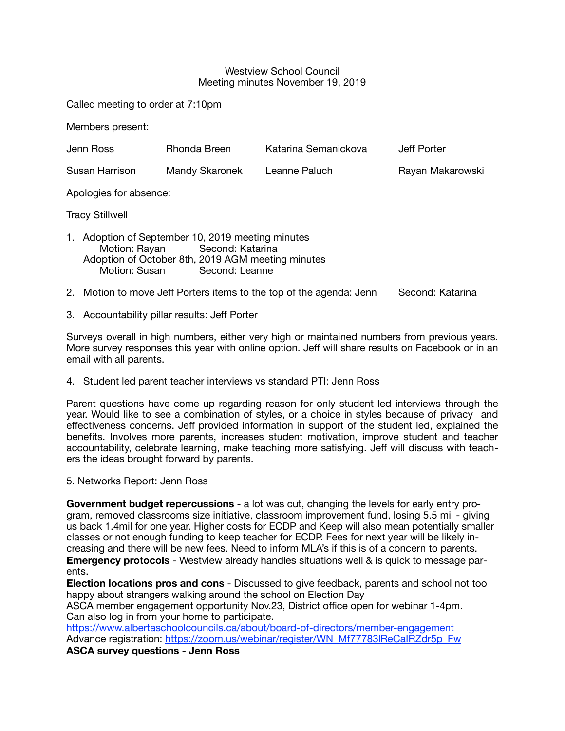#### Westview School Council Meeting minutes November 19, 2019

Called meeting to order at 7:10pm

Members present:

| Jenn Ross                                                                                                                                                                   | Rhonda Breen   | Katarina Semanickova | Jeff Porter      |  |  |  |  |
|-----------------------------------------------------------------------------------------------------------------------------------------------------------------------------|----------------|----------------------|------------------|--|--|--|--|
| Susan Harrison                                                                                                                                                              | Mandy Skaronek | Leanne Paluch        | Rayan Makarowski |  |  |  |  |
| Apologies for absence:                                                                                                                                                      |                |                      |                  |  |  |  |  |
| <b>Tracy Stillwell</b>                                                                                                                                                      |                |                      |                  |  |  |  |  |
| 1. Adoption of September 10, 2019 meeting minutes<br>Motion: Rayan Second: Katarina<br>Adoption of October 8th, 2019 AGM meeting minutes<br>Motion: Susan<br>Second: Leanne |                |                      |                  |  |  |  |  |
| Metion to mays, left Derters items to the tep of the essende: Jepp<br>Cooppol: Kotorina<br>റ                                                                                |                |                      |                  |  |  |  |  |

- 2. Motion to move Jeff Porters items to the top of the agenda: Jenn Second: Katarina
- 3. Accountability pillar results: Jeff Porter

Surveys overall in high numbers, either very high or maintained numbers from previous years. More survey responses this year with online option. Jeff will share results on Facebook or in an email with all parents.

4. Student led parent teacher interviews vs standard PTI: Jenn Ross

Parent questions have come up regarding reason for only student led interviews through the year. Would like to see a combination of styles, or a choice in styles because of privacy and effectiveness concerns. Jeff provided information in support of the student led, explained the benefits. Involves more parents, increases student motivation, improve student and teacher accountability, celebrate learning, make teaching more satisfying. Jeff will discuss with teachers the ideas brought forward by parents.

5. Networks Report: Jenn Ross

**Government budget repercussions** - a lot was cut, changing the levels for early entry program, removed classrooms size initiative, classroom improvement fund, losing 5.5 mil - giving us back 1.4mil for one year. Higher costs for ECDP and Keep will also mean potentially smaller classes or not enough funding to keep teacher for ECDP. Fees for next year will be likely increasing and there will be new fees. Need to inform MLA's if this is of a concern to parents. **Emergency protocols** - Westview already handles situations well & is quick to message parents.

**Election locations pros and cons** - Discussed to give feedback, parents and school not too happy about strangers walking around the school on Election Day

ASCA member engagement opportunity Nov.23, District office open for webinar 1-4pm. Can also log in from your home to participate.

<https://www.albertaschoolcouncils.ca/about/board-of-directors/member-engagement> Advance registration: https://zoom.us/webinar/register/WN\_Mf77783lReCalRZdr5p\_Fw

**ASCA survey questions - Jenn Ross**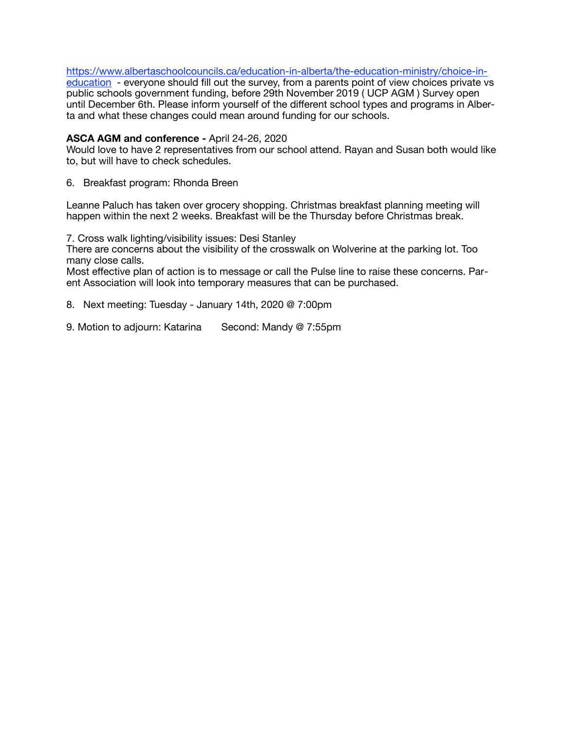[https://www.albertaschoolcouncils.ca/education-in-alberta/the-education-ministry/choice-in-](https://www.albertaschoolcouncils.ca/education-in-alberta/the-education-ministry/choice-in-education)

[education](https://www.albertaschoolcouncils.ca/education-in-alberta/the-education-ministry/choice-in-education) - everyone should fill out the survey, from a parents point of view choices private vs public schools government funding, before 29th November 2019 ( UCP AGM ) Survey open until December 6th. Please inform yourself of the different school types and programs in Alberta and what these changes could mean around funding for our schools.

## **ASCA AGM and conference -** April 24-26, 2020

Would love to have 2 representatives from our school attend. Rayan and Susan both would like to, but will have to check schedules.

6. Breakfast program: Rhonda Breen

Leanne Paluch has taken over grocery shopping. Christmas breakfast planning meeting will happen within the next 2 weeks. Breakfast will be the Thursday before Christmas break.

7. Cross walk lighting/visibility issues: Desi Stanley

There are concerns about the visibility of the crosswalk on Wolverine at the parking lot. Too many close calls.

Most effective plan of action is to message or call the Pulse line to raise these concerns. Parent Association will look into temporary measures that can be purchased.

8. Next meeting: Tuesday - January 14th, 2020 @ 7:00pm

9. Motion to adjourn: Katarina Second: Mandy @ 7:55pm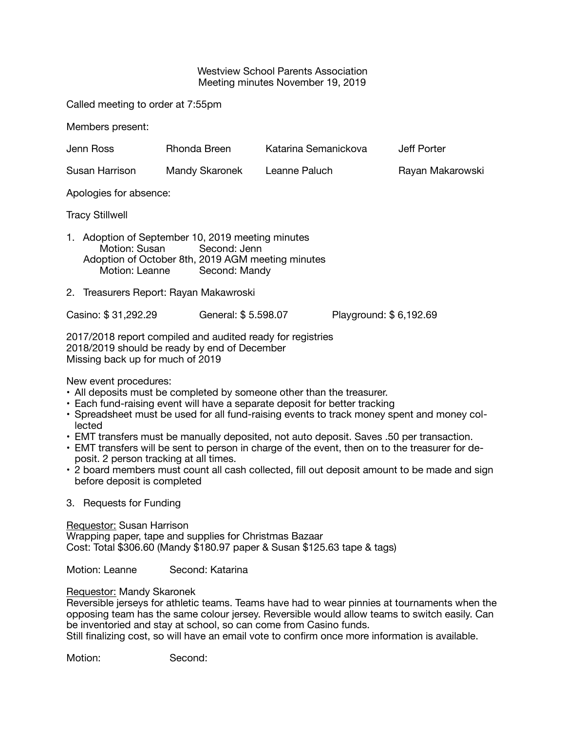#### Westview School Parents Association Meeting minutes November 19, 2019

Called meeting to order at 7:55pm

Members present:

| Jenn Ross                                                                                                                                                               | Rhonda Breen        | Katarina Semanickova |                        | Jeff Porter      |  |  |  |
|-------------------------------------------------------------------------------------------------------------------------------------------------------------------------|---------------------|----------------------|------------------------|------------------|--|--|--|
| Susan Harrison                                                                                                                                                          | Mandy Skaronek      | Leanne Paluch        |                        | Rayan Makarowski |  |  |  |
| Apologies for absence:                                                                                                                                                  |                     |                      |                        |                  |  |  |  |
| <b>Tracy Stillwell</b>                                                                                                                                                  |                     |                      |                        |                  |  |  |  |
| 1. Adoption of September 10, 2019 meeting minutes<br>Motion: Susan Second: Jenn<br>Adoption of October 8th, 2019 AGM meeting minutes<br>Motion: Leanne<br>Second: Mandy |                     |                      |                        |                  |  |  |  |
| 2. Treasurers Report: Rayan Makawroski                                                                                                                                  |                     |                      |                        |                  |  |  |  |
| Casino: \$31,292.29                                                                                                                                                     | General: \$5.598.07 |                      | Playground: \$6,192.69 |                  |  |  |  |
| 2017/2018 report compiled and audited ready for registries<br>2018/2019 should be ready by end of December<br>Missing back up for much of 2019                          |                     |                      |                        |                  |  |  |  |

New event procedures:

- All deposits must be completed by someone other than the treasurer.
- Each fund-raising event will have a separate deposit for better tracking
- Spreadsheet must be used for all fund-raising events to track money spent and money collected
- EMT transfers must be manually deposited, not auto deposit. Saves .50 per transaction.
- EMT transfers will be sent to person in charge of the event, then on to the treasurer for deposit. 2 person tracking at all times.
- 2 board members must count all cash collected, fill out deposit amount to be made and sign before deposit is completed

## 3. Requests for Funding

Requestor: Susan Harrison Wrapping paper, tape and supplies for Christmas Bazaar Cost: Total \$306.60 (Mandy \$180.97 paper & Susan \$125.63 tape & tags)

Motion: Leanne **Second: Katarina** 

## Requestor: Mandy Skaronek

Reversible jerseys for athletic teams. Teams have had to wear pinnies at tournaments when the opposing team has the same colour jersey. Reversible would allow teams to switch easily. Can be inventoried and stay at school, so can come from Casino funds.

Still finalizing cost, so will have an email vote to confirm once more information is available.

Motion: Second: